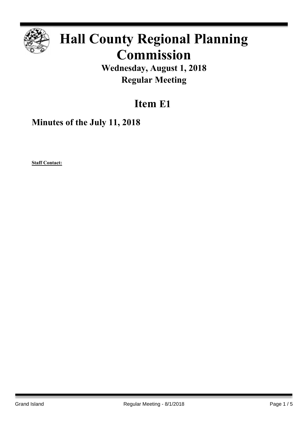

# **Hall County Regional Planning Commission**

**Wednesday, August 1, 2018 Regular Meeting**

## **Item E1**

**Minutes of the July 11, 2018**

**Staff Contact:**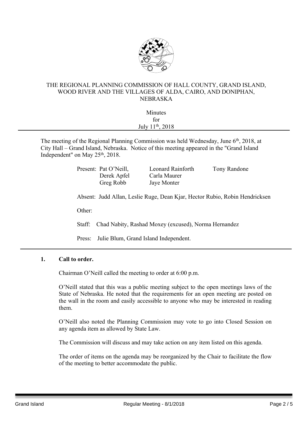

#### THE REGIONAL PLANNING COMMISSION OF HALL COUNTY, GRAND ISLAND, WOOD RIVER AND THE VILLAGES OF ALDA, CAIRO, AND DONIPHAN, NEBRASKA

| Minutes                      |  |
|------------------------------|--|
| for                          |  |
| July 11 <sup>th</sup> , 2018 |  |
|                              |  |

The meeting of the Regional Planning Commission was held Wednesday, June 6<sup>th</sup>, 2018, at City Hall – Grand Island, Nebraska. Notice of this meeting appeared in the "Grand Island Independent" on May 25<sup>th</sup>, 2018.

> Present: Pat O'Neill, Leonard Rainforth Tony Randone Derek Apfel Carla Maurer Greg Robb Jaye Monter

Absent: Judd Allan, Leslie Ruge, Dean Kjar, Hector Rubio, Robin Hendricksen

Other:

Staff: Chad Nabity, Rashad Moxey (excused), Norma Hernandez

Press: Julie Blum, Grand Island Independent.

#### **1. Call to order.**

Chairman O'Neill called the meeting to order at 6:00 p.m.

O'Neill stated that this was a public meeting subject to the open meetings laws of the State of Nebraska. He noted that the requirements for an open meeting are posted on the wall in the room and easily accessible to anyone who may be interested in reading them.

O'Neill also noted the Planning Commission may vote to go into Closed Session on any agenda item as allowed by State Law.

The Commission will discuss and may take action on any item listed on this agenda.

The order of items on the agenda may be reorganized by the Chair to facilitate the flow of the meeting to better accommodate the public.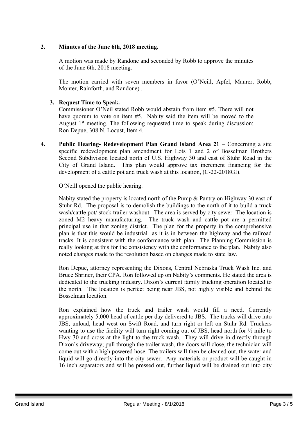### **2. Minutes of the June 6th, 2018 meeting.**

A motion was made by Randone and seconded by Robb to approve the minutes of the June 6th, 2018 meeting.

The motion carried with seven members in favor (O'Neill, Apfel, Maurer, Robb, Monter, Rainforth, and Randone) .

### **3. Request Time to Speak.**

Commissioner O'Neil stated Robb would abstain from item #5. There will not have quorum to vote on item #5. Nabity said the item will be moved to the August 1<sup>st</sup> meeting. The following requested time to speak during discussion: Ron Depue, 308 N. Locust, Item 4.

**4. Public Hearing- Redevelopment Plan Grand Island Area 21** – Concerning a site specific redevelopment plan amendment for Lots 1 and 2 of Bosselman Brothers Second Subdivision located north of U.S. Highway 30 and east of Stuhr Road in the City of Grand Island. This plan would approve tax increment financing for the development of a cattle pot and truck wash at this location, (C-22-2018GI).

O'Neill opened the public hearing.

Nabity stated the property is located north of the Pump & Pantry on Highway 30 east of Stuhr Rd. The proposal is to demolish the buildings to the north of it to build a truck wash/cattle pot/ stock trailer washout. The area is served by city sewer. The location is zoned M2 heavy manufacturing. The truck wash and cattle pot are a permitted principal use in that zoning district. The plan for the property in the comprehensive plan is that this would be industrial as it is in between the highway and the railroad tracks. It is consistent with the conformance with plan. The Planning Commission is really looking at this for the consistency with the conformance to the plan. Nabity also noted changes made to the resolution based on changes made to state law.

Ron Depue, attorney representing the Dixons, Central Nebraska Truck Wash Inc. and Bruce Shriner, their CPA. Ron followed up on Nabity's comments. He stated the area is dedicated to the trucking industry. Dixon's current family trucking operation located to the north. The location is perfect being near JBS, not highly visible and behind the Bosselman location.

Ron explained how the truck and trailer wash would fill a need. Currently approximately 5,000 head of cattle per day delivered to JBS. The trucks will drive into JBS, unload, head west on Swift Road, and turn right or left on Stuhr Rd. Truckers wanting to use the facility will turn right coming out of JBS, head north for ½ mile to Hwy 30 and cross at the light to the truck wash. They will drive in directly through Dixon's driveway; pull through the trailer wash, the doors will close, the technician will come out with a high powered hose. The trailers will then be cleaned out, the water and liquid will go directly into the city sewer. Any materials or product will be caught in 16 inch separators and will be pressed out, further liquid will be drained out into city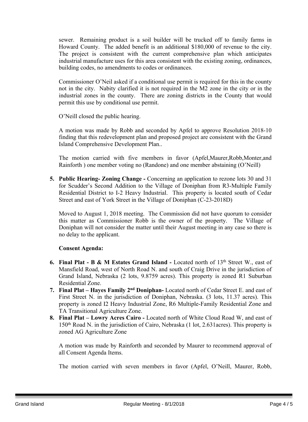sewer. Remaining product is a soil builder will be trucked off to family farms in Howard County. The added benefit is an additional \$180,000 of revenue to the city. The project is consistent with the current comprehensive plan which anticipates industrial manufacture uses for this area consistent with the existing zoning, ordinances, building codes, no amendments to codes or ordinances.

Commissioner O'Neil asked if a conditional use permit is required for this in the county not in the city. Nabity clarified it is not required in the M2 zone in the city or in the industrial zones in the county. There are zoning districts in the County that would permit this use by conditional use permit.

O'Neill closed the public hearing.

A motion was made by Robb and seconded by Apfel to approve Resolution 2018-10 finding that this redevelopment plan and proposed project are consistent with the Grand Island Comprehensive Development Plan..

The motion carried with five members in favor (Apfel,Maurer,Robb,Monter,and Rainforth ) one member voting no (Randone) and one member abstaining (O'Neill)

**5. Public Hearing- Zoning Change -** Concerning an application to rezone lots 30 and 31 for Scudder's Second Addition to the Village of Doniphan from R3-Multiple Family Residential District to I-2 Heavy Industrial. This property is located south of Cedar Street and east of York Street in the Village of Doniphan (C-23-2018D)

Moved to August 1, 2018 meeting. The Commission did not have quorum to consider this matter as Commissioner Robb is the owner of the property. The Village of Doniphan will not consider the matter until their August meeting in any case so there is no delay to the applicant.

### **Consent Agenda:**

- **6. Final Plat - B & M Estates Grand Island -** Located north of 13th Street W., east of Mansfield Road, west of North Road N. and south of Craig Drive in the jurisdiction of Grand Island, Nebraska (2 lots, 9.8759 acres). This property is zoned R1 Suburban Residential Zone.
- **7. Final Plat – Hayes Family 2 nd Doniphan-** Located north of Cedar Street E. and east of First Street N. in the jurisdiction of Doniphan, Nebraska. (3 lots, 11.37 acres). This property is zoned I2 Heavy Industrial Zone, R6 Multiple-Family Residential Zone and TA Transitional Agriculture Zone.
- **8. Final Plat – Lowry Acres Cairo -** Located north of White Cloud Road W, and east of 150th Road N. in the jurisdiction of Cairo, Nebraska (1 lot, 2.631acres). This property is zoned AG Agriculture Zone

A motion was made by Rainforth and seconded by Maurer to recommend approval of all Consent Agenda Items.

The motion carried with seven members in favor (Apfel, O'Neill, Maurer, Robb,